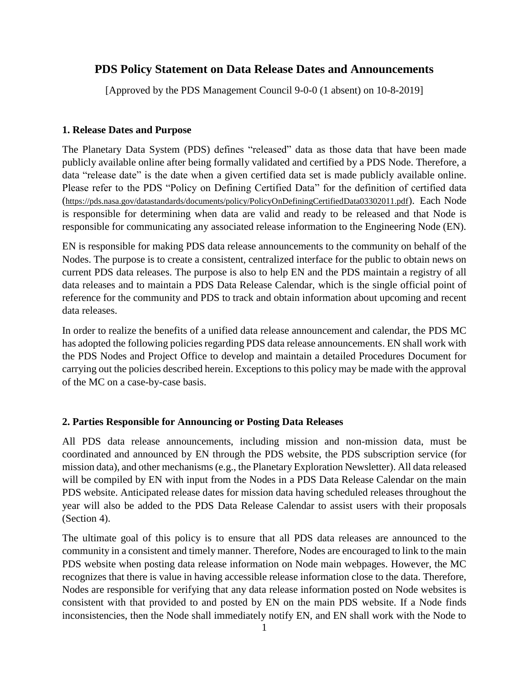# **PDS Policy Statement on Data Release Dates and Announcements**

[Approved by the PDS Management Council 9-0-0 (1 absent) on 10-8-2019]

## **1. Release Dates and Purpose**

The Planetary Data System (PDS) defines "released" data as those data that have been made publicly available online after being formally validated and certified by a PDS Node. Therefore, a data "release date" is the date when a given certified data set is made publicly available online. Please refer to the PDS "Policy on Defining Certified Data" for the definition of certified data (<https://pds.nasa.gov/datastandards/documents/policy/PolicyOnDefiningCertifiedData03302011.pdf>). Each Node is responsible for determining when data are valid and ready to be released and that Node is responsible for communicating any associated release information to the Engineering Node (EN).

EN is responsible for making PDS data release announcements to the community on behalf of the Nodes. The purpose is to create a consistent, centralized interface for the public to obtain news on current PDS data releases. The purpose is also to help EN and the PDS maintain a registry of all data releases and to maintain a PDS Data Release Calendar, which is the single official point of reference for the community and PDS to track and obtain information about upcoming and recent data releases.

In order to realize the benefits of a unified data release announcement and calendar, the PDS MC has adopted the following policies regarding PDS data release announcements. EN shall work with the PDS Nodes and Project Office to develop and maintain a detailed Procedures Document for carrying out the policies described herein. Exceptions to this policy may be made with the approval of the MC on a case-by-case basis.

## **2. Parties Responsible for Announcing or Posting Data Releases**

All PDS data release announcements, including mission and non-mission data, must be coordinated and announced by EN through the PDS website, the PDS subscription service (for mission data), and other mechanisms (e.g., the Planetary Exploration Newsletter). All data released will be compiled by EN with input from the Nodes in a PDS Data Release Calendar on the main PDS website. Anticipated release dates for mission data having scheduled releases throughout the year will also be added to the PDS Data Release Calendar to assist users with their proposals (Section 4).

The ultimate goal of this policy is to ensure that all PDS data releases are announced to the community in a consistent and timely manner. Therefore, Nodes are encouraged to link to the main PDS website when posting data release information on Node main webpages. However, the MC recognizes that there is value in having accessible release information close to the data. Therefore, Nodes are responsible for verifying that any data release information posted on Node websites is consistent with that provided to and posted by EN on the main PDS website. If a Node finds inconsistencies, then the Node shall immediately notify EN, and EN shall work with the Node to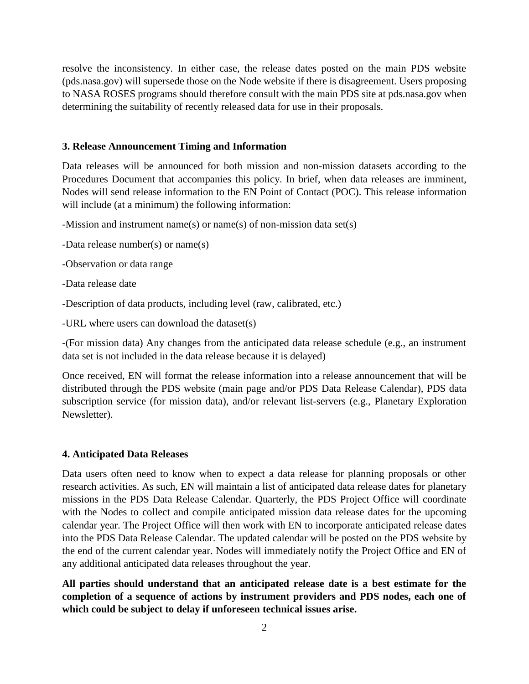resolve the inconsistency. In either case, the release dates posted on the main PDS website (pds.nasa.gov) will supersede those on the Node website if there is disagreement. Users proposing to NASA ROSES programs should therefore consult with the main PDS site at pds.nasa.gov when determining the suitability of recently released data for use in their proposals.

#### **3. Release Announcement Timing and Information**

Data releases will be announced for both mission and non-mission datasets according to the Procedures Document that accompanies this policy. In brief, when data releases are imminent, Nodes will send release information to the EN Point of Contact (POC). This release information will include (at a minimum) the following information:

-Mission and instrument name(s) or name(s) of non-mission data set(s)

-Data release number(s) or name(s)

-Observation or data range

-Data release date

-Description of data products, including level (raw, calibrated, etc.)

-URL where users can download the dataset(s)

-(For mission data) Any changes from the anticipated data release schedule (e.g., an instrument data set is not included in the data release because it is delayed)

Once received, EN will format the release information into a release announcement that will be distributed through the PDS website (main page and/or PDS Data Release Calendar), PDS data subscription service (for mission data), and/or relevant list-servers (e.g., Planetary Exploration Newsletter).

## **4. Anticipated Data Releases**

Data users often need to know when to expect a data release for planning proposals or other research activities. As such, EN will maintain a list of anticipated data release dates for planetary missions in the PDS Data Release Calendar. Quarterly, the PDS Project Office will coordinate with the Nodes to collect and compile anticipated mission data release dates for the upcoming calendar year. The Project Office will then work with EN to incorporate anticipated release dates into the PDS Data Release Calendar. The updated calendar will be posted on the PDS website by the end of the current calendar year. Nodes will immediately notify the Project Office and EN of any additional anticipated data releases throughout the year.

**All parties should understand that an anticipated release date is a best estimate for the completion of a sequence of actions by instrument providers and PDS nodes, each one of which could be subject to delay if unforeseen technical issues arise.**